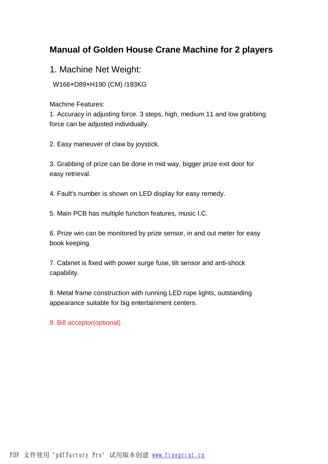# **Manual of Golden House Crane Machine for 2 players**

1. Machine Net Weight:

W166×D89×H190 (CM) /193KG

Machine Features:

1. Accuracy in adjusting force. 3 steps, high, medium 11 and low grabbing force can be adjusted individually.

2. Easy maneuver of claw by joystick.

3. Grabbing of prize can be done in mid way, bigger prize exit door for easy retrieval.

4. Fault's number is shown on LED display for easy remedy.

5. Main PCB has multiple function features, music I.C.

6. Prize win can be monitored by prize sensor, in and out meter for easy book keeping.

7. Cabinet is fixed with power surge fuse, tilt sensor and anti-shock capability.

8. Metal frame construction with running LED rope lights, outstanding appearance suitable for big entertainment centers.

9. Bill acceptor(optional)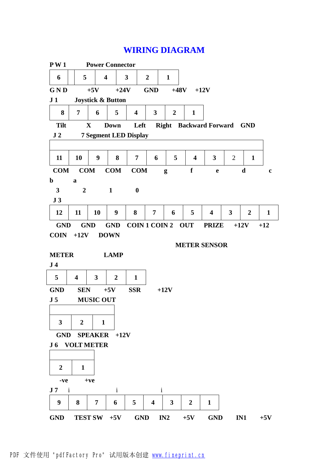# **WIRING DIAGRAM**

| P W 1                                          |                         |              | <b>Power Connector</b>  |                              |                         |                |                         |                               |                         |                |              |
|------------------------------------------------|-------------------------|--------------|-------------------------|------------------------------|-------------------------|----------------|-------------------------|-------------------------------|-------------------------|----------------|--------------|
| 6                                              | 5                       |              | $\overline{\mathbf{4}}$ | $\overline{\mathbf{3}}$      | $\overline{2}$          | $\mathbf{1}$   |                         |                               |                         |                |              |
| GND                                            |                         | $+5V$        | $+24V$                  |                              | <b>GND</b>              | $+48V$         |                         | $+12V$                        |                         |                |              |
| J <sub>1</sub><br><b>Joystick &amp; Button</b> |                         |              |                         |                              |                         |                |                         |                               |                         |                |              |
| 8                                              | $\overline{7}$          | 6            | 5                       | $\overline{\mathbf{4}}$      | $\overline{\mathbf{3}}$ | $\overline{2}$ | $\mathbf{1}$            |                               |                         |                |              |
| <b>Tilt</b>                                    |                         | X            | <b>Down</b>             | Left                         |                         |                |                         | <b>Right</b> Backward Forward |                         | <b>GND</b>     |              |
| J <sub>2</sub>                                 |                         |              |                         | <b>7 Segment LED Display</b> |                         |                |                         |                               |                         |                |              |
|                                                |                         |              |                         |                              |                         |                |                         |                               |                         |                |              |
| 11                                             | 10                      | 9            | 8                       | 7                            | 6                       | 5              | $\overline{\mathbf{4}}$ | 3                             | $\overline{2}$          | $\mathbf{1}$   |              |
| <b>COM</b>                                     | COM                     |              | COM                     | <b>COM</b>                   |                         | g              | f                       | $\mathbf e$                   |                         | $\mathbf d$    | $\mathbf c$  |
| $\mathbf b$                                    | $\mathbf a$             |              |                         |                              |                         |                |                         |                               |                         |                |              |
| 3                                              | $\boldsymbol{2}$        |              | $\mathbf{1}$            | $\boldsymbol{0}$             |                         |                |                         |                               |                         |                |              |
| J3                                             |                         |              |                         |                              |                         |                |                         |                               |                         |                |              |
| 12                                             | 11                      | 10           | 9                       | 8                            | 7                       | 6              | 5                       | $\overline{\mathbf{4}}$       | $\overline{\mathbf{3}}$ | $\overline{2}$ | $\mathbf{1}$ |
| <b>GND</b>                                     |                         | <b>GND</b>   | <b>GND</b>              | <b>COIN 1 COIN 2</b>         |                         |                | <b>OUT</b>              | <b>PRIZE</b>                  | $+12V$                  |                | $+12$        |
| <b>COIN</b>                                    | $+12V$                  |              | <b>DOWN</b>             |                              |                         |                |                         |                               |                         |                |              |
| <b>METER SENSOR</b>                            |                         |              |                         |                              |                         |                |                         |                               |                         |                |              |
| <b>METER</b>                                   |                         |              | <b>LAMP</b>             |                              |                         |                |                         |                               |                         |                |              |
| J <sub>4</sub>                                 |                         |              |                         |                              |                         |                |                         |                               |                         |                |              |
| 5                                              | $\overline{\mathbf{4}}$ | 3            | $\boldsymbol{2}$        | $\mathbf{1}$                 |                         |                |                         |                               |                         |                |              |
| <b>GND</b>                                     | <b>SEN</b>              |              | $+5V$                   | <b>SSR</b>                   |                         | $+12V$         |                         |                               |                         |                |              |
| J <sub>5</sub>                                 | <b>MUSIC OUT</b>        |              |                         |                              |                         |                |                         |                               |                         |                |              |
|                                                |                         |              |                         |                              |                         |                |                         |                               |                         |                |              |
| $\mathbf{3}$                                   | $\overline{2}$          | $\mathbf{1}$ |                         |                              |                         |                |                         |                               |                         |                |              |
|                                                |                         |              | GND SPEAKER +12V        |                              |                         |                |                         |                               |                         |                |              |
| <b>J6 VOLT METER</b>                           |                         |              |                         |                              |                         |                |                         |                               |                         |                |              |
|                                                |                         |              |                         |                              |                         |                |                         |                               |                         |                |              |
| $\boldsymbol{2}$                               | 1                       |              |                         |                              |                         |                |                         |                               |                         |                |              |
| $+ve$<br>-ve                                   |                         |              |                         |                              |                         |                |                         |                               |                         |                |              |
| J <sub>7</sub><br>$\mathbf{i}$                 |                         |              | $\mathbf{i}$            |                              | $\mathbf{i}$            |                |                         |                               |                         |                |              |
| 9                                              | 8                       | 7            | 6                       | 5                            | 4                       | 3              | $\overline{2}$          | $\mathbf{1}$                  |                         |                |              |
| <b>GND</b>                                     |                         |              | TEST SW $+5V$           | <b>GND</b>                   |                         | IN2            | $+5V$                   | <b>GND</b>                    |                         | IN1            | $+5V$        |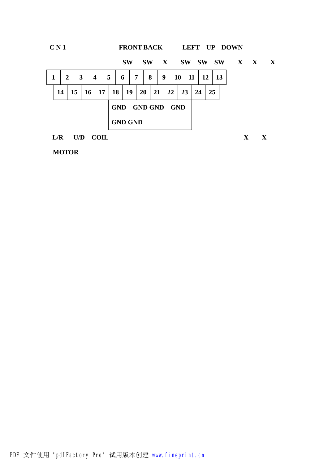

**MOTOR**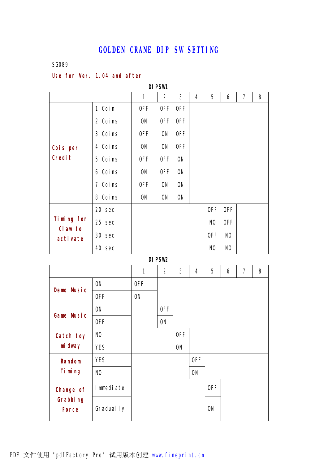### **GOLDEN CRANE DIP SW SETTING**

#### SG089

### **Use for Ver. 1.04 and after**

**DIPSW1**  1 2 3 4 5 6 7 8 1 Coin | OFF OFF OFF 2 Coins | ON OFF OFF 3 Coins | OFF ON OFF 4 Coins | ON ON OFF 5 Coins | OFF OFF ON 6 Coins ON OFF ON 7 Coins OFF ON ON **Cois per Credit** 8 Coins | ON ON ON  $20 \sec \theta$  OFF OFF  $25 \text{ sec}$  NO OFF  $30 \sec \theta$  OFF NO **Timing for Claw to activate** 40 sec NO NO

#### **DIPSW2**

|                                              |                  | 1          | $\mathbf{2}$ | 3         | 4         | 5         | 6 | $\overline{\mathbf{z}}$ | 8 |
|----------------------------------------------|------------------|------------|--------------|-----------|-----------|-----------|---|-------------------------|---|
|                                              | <b>ON</b>        | <b>OFF</b> |              |           |           |           |   |                         |   |
| <b>Demo Music</b>                            | 0FF              | <b>ON</b>  |              |           |           |           |   |                         |   |
| <b>Game Music</b>                            | <b>ON</b>        |            | 0FF          |           |           |           |   |                         |   |
|                                              | 0FF              |            | <b>ON</b>    |           |           |           |   |                         |   |
| <b>Catch toy</b>                             | N <sub>0</sub>   |            |              | 0FF       |           |           |   |                         |   |
| mi dway                                      | <b>YES</b>       |            |              | <b>ON</b> |           |           |   |                         |   |
| <b>Random</b>                                | <b>YES</b>       |            |              |           | 0FF       |           |   |                         |   |
| Timing                                       | N <sub>0</sub>   |            |              |           | <b>ON</b> |           |   |                         |   |
| <b>Change of</b><br>Grabbing<br><b>Force</b> | <b>Immediate</b> |            |              |           |           | 0FF       |   |                         |   |
|                                              | <b>Gradually</b> |            |              |           |           | <b>ON</b> |   |                         |   |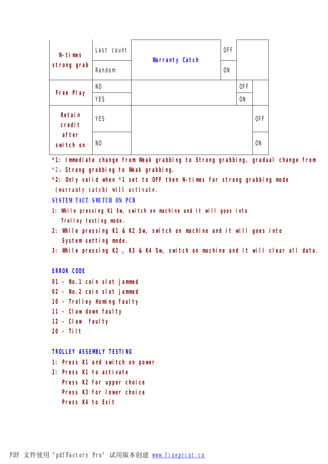| <b>N-times</b>     | Last count     | <b>Warranty Catch</b> | 0FF       |           |           |
|--------------------|----------------|-----------------------|-----------|-----------|-----------|
| strong grab        | <b>Random</b>  |                       | <b>ON</b> |           |           |
|                    | N <sub>0</sub> |                       |           | 0FF       |           |
| <b>Free Play</b>   | <b>YES</b>     |                       |           | <b>ON</b> |           |
| Retain<br>credit   | <b>YES</b>     |                       |           |           | 0FF       |
| after<br>switch on | N <sub>0</sub> |                       |           |           | <b>ON</b> |

**\*1: Immediate change from Weak grabbing to Strong grabbing, gradual change from** \*2:**Strong grabbing to Weak grabbing.**

**\*2: Only valid when \*1 set to OFF then N-times for strong grabbing mode (warranty catch) will activate.**

```
SYSTEM TACT SWITCH ON PCB
```
- **1: While pressing K1 Sw, switch on machine and it will goes into Trolley testing mode.**
- **2: While pressing K1 & K2 Sw, switch on machine and it will goes into System setting mode.**
- **3: While pressing K2 , K3 & K4 Sw, switch on machine and it will clear all data.**

#### **ERROR CODE**

- **01 No.1 coin slot jammed**
- **02 No.2 coin slot jammed**
- **10 Trolley Homing faulty**
- **11 Claw down faulty**
- **12 Claw faulty**
- **20 Tilt**

#### **TROLLEY ASSEMBLY TESTING**

- **1: Press K1 and switch on power**
- **2: Press K1 to activate Press K2 for upper choice Press K3 for lower choice Press K4 to Exit**